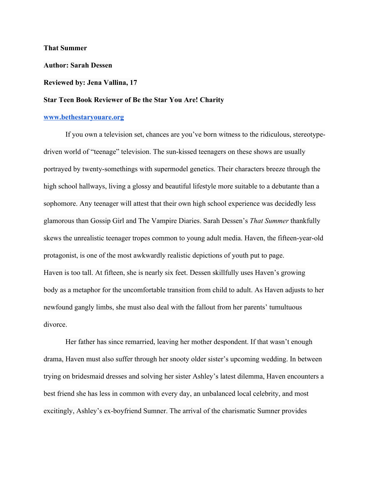**That Summer**

**Author: Sarah Dessen**

## **Reviewed by: Jena Vallina, 17**

## **Star Teen Book Reviewer of Be the Star You Are! Charity**

## **[www.bethestaryouare.org](http://www.bethestaryouare.org/)**

If you own a television set, chances are you've born witness to the ridiculous, stereotypedriven world of "teenage" television. The sun-kissed teenagers on these shows are usually portrayed by twenty-somethings with supermodel genetics. Their characters breeze through the high school hallways, living a glossy and beautiful lifestyle more suitable to a debutante than a sophomore. Any teenager will attest that their own high school experience was decidedly less glamorous than Gossip Girl and The Vampire Diaries. Sarah Dessen's *That Summer* thankfully skews the unrealistic teenager tropes common to young adult media. Haven, the fifteen-year-old protagonist, is one of the most awkwardly realistic depictions of youth put to page. Haven is too tall. At fifteen, she is nearly six feet. Dessen skillfully uses Haven's growing body as a metaphor for the uncomfortable transition from child to adult. As Haven adjusts to her newfound gangly limbs, she must also deal with the fallout from her parents' tumultuous divorce.

Her father has since remarried, leaving her mother despondent. If that wasn't enough drama, Haven must also suffer through her snooty older sister's upcoming wedding. In between trying on bridesmaid dresses and solving her sister Ashley's latest dilemma, Haven encounters a best friend she has less in common with every day, an unbalanced local celebrity, and most excitingly, Ashley's ex-boyfriend Sumner. The arrival of the charismatic Sumner provides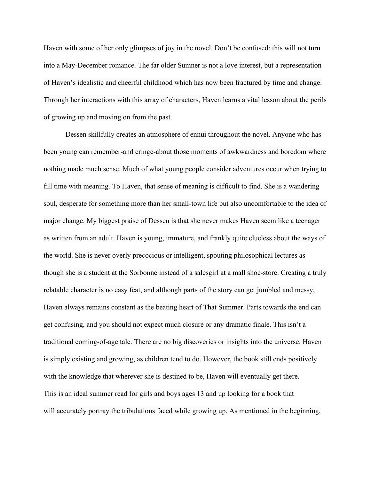Haven with some of her only glimpses of joy in the novel. Don't be confused: this will not turn into a May-December romance. The far older Sumner is not a love interest, but a representation of Haven's idealistic and cheerful childhood which has now been fractured by time and change. Through her interactions with this array of characters, Haven learns a vital lesson about the perils of growing up and moving on from the past.

Dessen skillfully creates an atmosphere of ennui throughout the novel. Anyone who has been young can remember-and cringe-about those moments of awkwardness and boredom where nothing made much sense. Much of what young people consider adventures occur when trying to fill time with meaning. To Haven, that sense of meaning is difficult to find. She is a wandering soul, desperate for something more than her small-town life but also uncomfortable to the idea of major change. My biggest praise of Dessen is that she never makes Haven seem like a teenager as written from an adult. Haven is young, immature, and frankly quite clueless about the ways of the world. She is never overly precocious or intelligent, spouting philosophical lectures as though she is a student at the Sorbonne instead of a salesgirl at a mall shoe-store. Creating a truly relatable character is no easy feat, and although parts of the story can get jumbled and messy, Haven always remains constant as the beating heart of That Summer. Parts towards the end can get confusing, and you should not expect much closure or any dramatic finale. This isn't a traditional coming-of-age tale. There are no big discoveries or insights into the universe. Haven is simply existing and growing, as children tend to do. However, the book still ends positively with the knowledge that wherever she is destined to be, Haven will eventually get there. This is an ideal summer read for girls and boys ages 13 and up looking for a book that will accurately portray the tribulations faced while growing up. As mentioned in the beginning,